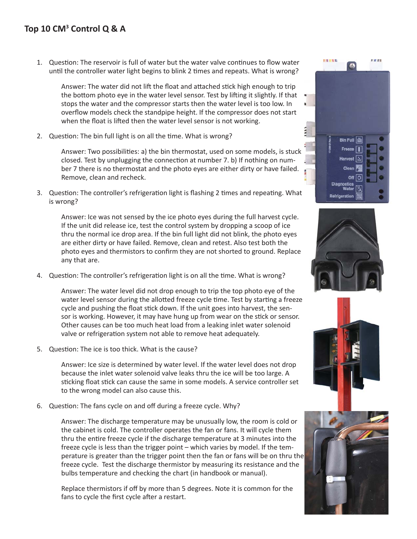1. Question: The reservoir is full of water but the water valve continues to flow water until the controller water light begins to blink 2 times and repeats. What is wrong?

Answer: The water did not lift the float and attached stick high enough to trip the bottom photo eye in the water level sensor. Test by lifting it slightly. If that stops the water and the compressor starts then the water level is too low. In overflow models check the standpipe height. If the compressor does not start when the float is lifted then the water level sensor is not working.

2. Question: The bin full light is on all the time. What is wrong?

Answer: Two possibilities: a) the bin thermostat, used on some models, is stuck closed. Test by unplugging the connection at number 7. b) If nothing on number 7 there is no thermostat and the photo eyes are either dirty or have failed. Remove, clean and recheck.

3. Question: The controller's refrigeration light is flashing 2 times and repeating. What is wrong?

Answer: Ice was not sensed by the ice photo eyes during the full harvest cycle. If the unit did release ice, test the control system by dropping a scoop of ice thru the normal ice drop area. If the bin full light did not blink, the photo eyes are either dirty or have failed. Remove, clean and retest. Also test both the photo eyes and thermistors to confirm they are not shorted to ground. Replace any that are.

4. Question: The controller's refrigeration light is on all the time. What is wrong?

Answer: The water level did not drop enough to trip the top photo eye of the water level sensor during the allotted freeze cycle time. Test by starting a freeze cycle and pushing the float stick down. If the unit goes into harvest, the sensor is working. However, it may have hung up from wear on the stick or sensor. Other causes can be too much heat load from a leaking inlet water solenoid valve or refrigeration system not able to remove heat adequately.

5. Question: The ice is too thick. What is the cause?

Answer: Ice size is determined by water level. If the water level does not drop because the inlet water solenoid valve leaks thru the ice will be too large. A sticking float stick can cause the same in some models. A service controller set to the wrong model can also cause this.

6. Question: The fans cycle on and off during a freeze cycle. Why?

Answer: The discharge temperature may be unusually low, the room is cold or the cabinet is cold. The controller operates the fan or fans. It will cycle them thru the entire freeze cycle if the discharge temperature at 3 minutes into the freeze cycle is less than the trigger point – which varies by model. If the temperature is greater than the trigger point then the fan or fans will be on thru the freeze cycle. Test the discharge thermistor by measuring its resistance and the bulbs temperature and checking the chart (in handbook or manual).

Replace thermistors if off by more than 5 degrees. Note it is common for the fans to cycle the first cycle after a restart.